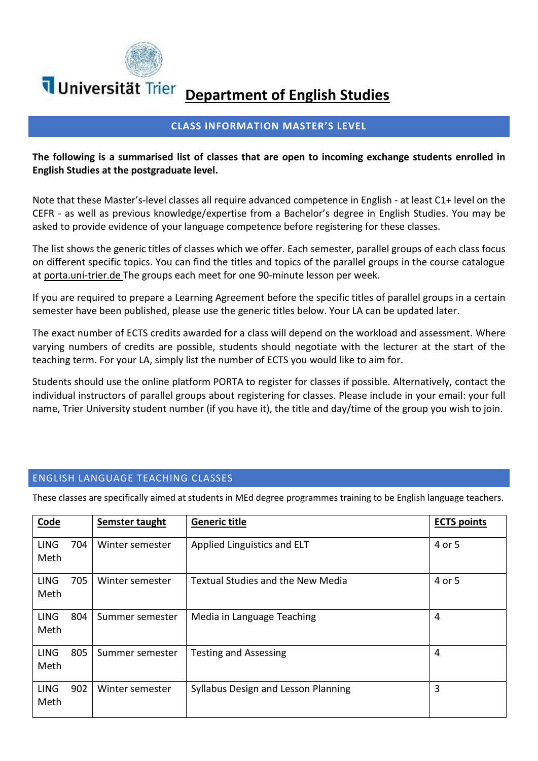

# **Department of English Studies**

### **CLASS INFORMATION MASTER'S LEVEL**

#### **The following is a summarised list of classes that are open to incoming exchange students enrolled in English Studies at the postgraduate level.**

Note that these Master's-level classes all require advanced competence in English - at least C1+ level on the CEFR - as well as previous knowledge/expertise from a Bachelor's degree in English Studies. You may be asked to provide evidence of your language competence before registering for these classes.

The list shows the generic titles of classes which we offer. Each semester, parallel groups of each class focus on different specific topics. You can find the titles and topics of the parallel groups in the course catalogue at porta.uni-trier.de The groups each meet for one 90-minute lesson per week.

If you are required to prepare a Learning Agreement before the specific titles of parallel groups in a certain semester have been published, please use the generic titles below. Your LA can be updated later.

The exact number of ECTS credits awarded for a class will depend on the workload and assessment. Where varying numbers of credits are possible, students should negotiate with the lecturer at the start of the teaching term. For your LA, simply list the number of ECTS you would like to aim for.

Students should use the online platform PORTA to register for classes if possible. Alternatively, contact the individual instructors of parallel groups about registering for classes. Please include in your email: your full name, Trier University student number (if you have it), the title and day/time of the group you wish to join.

#### ENGLISH LANGUAGE TEACHING CLASSES

These classes are specifically aimed at students in MEd degree programmes training to be English language teachers.

| <b>Code</b>         |     | Semster taught  | <b>Generic title</b>                     | <b>ECTS points</b> |
|---------------------|-----|-----------------|------------------------------------------|--------------------|
| <b>LING</b><br>Meth | 704 | Winter semester | Applied Linguistics and ELT              | 4 or 5             |
| <b>LING</b><br>Meth | 705 | Winter semester | <b>Textual Studies and the New Media</b> | 4 or 5             |
| <b>LING</b><br>Meth | 804 | Summer semester | Media in Language Teaching               | 4                  |
| <b>LING</b><br>Meth | 805 | Summer semester | <b>Testing and Assessing</b>             | 4                  |
| <b>LING</b><br>Meth | 902 | Winter semester | Syllabus Design and Lesson Planning      | 3                  |